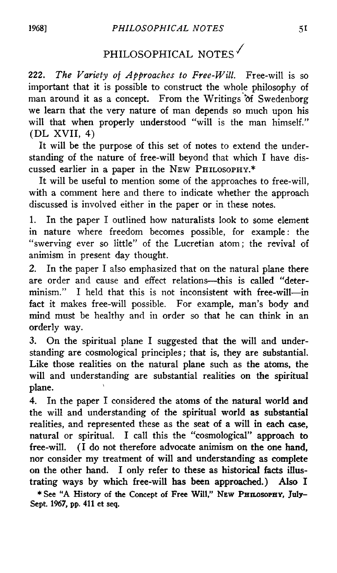## PHILOSOPHICAL NOTES

222. *The Variety of Approaches to Free-Will.* Free-will is so important that it is possible to construct the whole philosophy of man around it as a concept. From the Writings of Swedenborg we learn that the very nature of man depends so much upon his will that when properly understood "will is the man himself."  $(DL XVII. 4)$ 

It will be the purpose of this set of notes to extend the understanding of the nature of free-will beyond that which I have discussed earlier in a paper in the **New Philosophy.\***

It will be useful to mention some of the approaches to free-will, with a comment here and there to indicate whether the approach discussed is involved either in the paper or in these notes.

1. In the paper I outlined how naturalists look to some element in nature where freedom becomes possible, for example: the " swerving ever so little" of the Lucretian atom; the revival of animism in present day thought.

2. In the paper I also emphasized that on the natural plane there are order and cause and effect relations— this is called " determinism." I held that this is not inconsistent with free-will—in fact it makes free-will possible. For example, man's body and mind must be healthy and in order so that he can think in an orderly way.

3. On the spiritual plane I suggested that the will and understanding are cosmological principles; that is, they are substantial. Like those realities on the natural plane such as the atoms, the will and understanding are substantial realities on the spiritual plane.

4. In the paper I considered the atoms of the natural world and the will and understanding of the spiritual world as substantial realities, and represented these as the seat of a will in each case, natural or spiritual. I call this the "cosmological" approach to free-will. (I do not therefore advocate animism on the one hand, nor consider my treatment of will and understanding as complete on the other hand. I only refer to these as historical facts illustrating ways by which free-will has been approached.) Also I

\* See "A History of the Concept of Free Will," NEW PHILOSOPHY, July-Sept. 1967, pp. 411 et seq.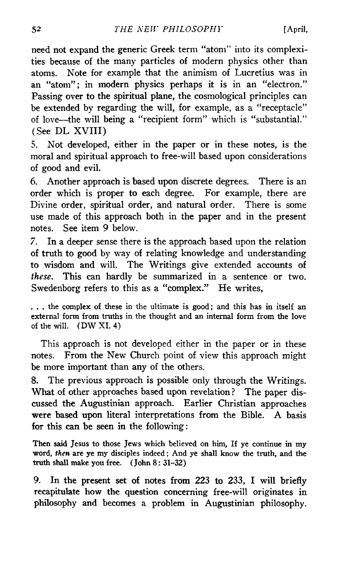need not expand the generic Greek term "atom" into its complexities because of the many particles of modern physics other than atoms. Note for example that the animism of Lucretius was in an "atom"; in modern physics perhaps it is in an "electron." Passing over to the spiritual plane, the cosmological principles can be extended by regarding the will, for example, as a "receptacle" of love—the will being a "recipient form" which is " substantial." (See DL XVIII)

5. Not developed, either in the paper or in these notes, is the moral and spiritual approach to free-will based upon considerations of good and evil.

6. Another approach is based upon discrete degrees. There is an order which is proper to each degree. For example, there are Divine order, spiritual order, and natural order. There is some use made of this approach both in the paper and in the present notes. See item 9 below.

7. In a deeper sense there is the approach based upon the relation of truth to good by way of relating knowledge and understanding to wisdom and will. The Writings give extended accounts of *these.* This can hardly be summarized in a sentence or two. Swedenborg refers to this as a "complex." He writes,

. . . the complex of these in the ultimate is good; and this has in itself an external form from truths in the thought and an internal form from the love of the will.  $(DW XI. 4)$ 

This approach is not developed either in the paper or in these notes. From the New Church point of view this approach might be more important than any of the others.

8. The previous approach is possible only through the Writings. What of other approaches based upon revelation? The paper discussed the Augustinian approach. Earlier Christian approaches were based upon literal interpretations from the Bible. A basis for this can be seen in the following:

Then said Jesus to those Jews which believed on him, If ye continue in my word, *then* are ye my disciples indeed; And ye shall know the truth, and the truth shall make you free. (John 8: 31-32)

9. In the present set of notes from 223 to 233, I will briefly recapitulate how the question concerning free-will originates in philosophy and becomes a problem in Augustinian philosophy.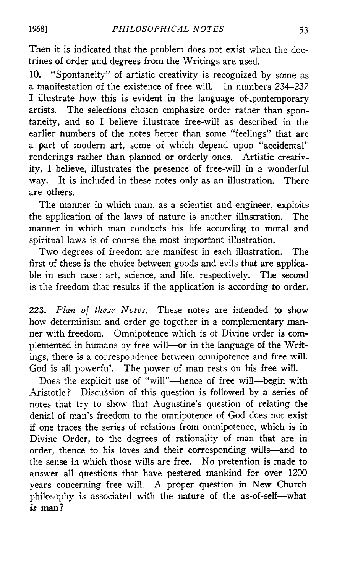Then it is indicated that the problem does not exist when the doctrines of order and degrees from the Writings are used.

10. " Spontaneity" of artistic creativity is recognized by some as a manifestation of the existence of free will. In numbers 234-237 I illustrate how this is evident in the language of contemporary artists. The selections chosen emphasize order rather than spontaneity, and so I believe illustrate free-will as described in the earlier numbers of the notes better than some "feelings" that are a part of modern art, some of which depend upon "accidental" renderings rather than planned or orderly ones. Artistic creativity, I believe, illustrates the presence of free-will in a wonderful way. It is included in these notes only as an illustration. There are others.

The manner in which man, as a scientist and engineer, exploits the application of the laws of nature is another illustration. The manner in which man conducts his life according to moral and spiritual laws is of course the most important illustration.

Two degrees of freedom are manifest in each illustration. The first of these is the choice between goods and evils that are applicable in each case: art, science, and life, respectively. The second is the freedom that results if the application is according to order.

223. *Plan of these Notes.* These notes are intended to show how determinism and order go together in a complementary manner with freedom. Omnipotence which is of Divine order is complemented in humans by free will—or in the language of the Writings, there is a correspondence between omnipotence and free will. God is all powerful. The power of man rests on his free will.

Does the explicit use of "will"—hence of free will—begin with Aristotle? Discussion of this question is followed by a series of notes that try to show that Augustine's question of relating the denial of man's freedom to the omnipotence of God does not exist if one traces the series of relations from omnipotence, which is in Divine Order, to the degrees of rationality of man that are in order, thence to his loves and their corresponding wills— and to the sense in which those wills are free. No pretention is made to answer all questions that have pestered mankind for over 1200 years concerning free will. A proper question in New Church philosophy is associated with the nature of the as-of-self— what *is* man?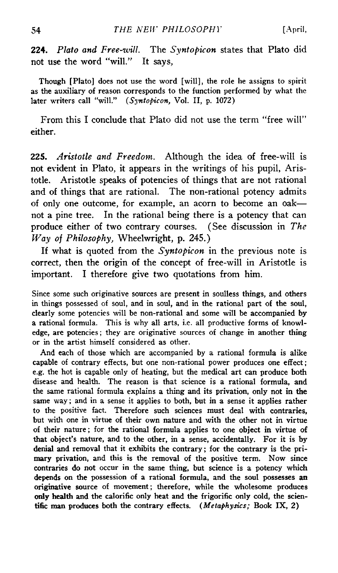224. *Plato and Free-will*. The *Syntopicon* states that Plato did not use the word "will." It says,

Though [Plato] does not use the word [will], the role he assigns to spirit as the auxiliary of reason corresponds to the function performed by what the later writers call "will." (*Syntopicon,* Vol. II, p. 1072)

From this I conclude that Plato did not use the term "free will" either.

225. *Aristotle and Freedom*. Although the idea of free-will is not evident in Plato, it appears in the writings of his pupil, Aristotle. Aristotle speaks of potencies of things that are not rational and of things that are rational. The non-rational potency admits of only one outcome, for example, an acorn to become an oak not a pine tree. In the rational being there is a potency that can produce either of two contrary courses. (See discussion in *The Way of Philosophy,* Wheelwright, p. 245.)

If what is quoted from the *Syntopicon* in the previous note is correct, then the origin of the concept of free-will in Aristotle is important. I therefore give two quotations from him.

Since some such originative sources are present in soulless things, and others in things possessed of soul, and in soul, and in the rational part of the soul, clearly some potencies will be non-rational and some will be accompanied by a rational formula. This is why all arts, i.e. all productive forms of knowledge, are potencies; they are originative sources of change in another thing or in the artist himself considered as other.

And each of those which are accompanied by a rational formula is alike capable of contrary effects, but one non-rational power produces one effect; e.g. the hot is capable only of heating, but the medical art can produce both disease and health. The reason is that science is a rational formula, and the same rational formula explains a thing and its privation, only not in the same way; and in a sense it applies to both, but in a sense it applies rather to the positive fact. Therefore such sciences must deal with contraries, but with one in virtue of their own nature and with the other not in virtue of their nature; for the rational formula applies to one object in virtue of that object's nature, and to the other, in a sense, accidentally. For it is by denial and removal that it exhibits the contrary; for the contrary is the primary privation, and this is the removal of the positive term. Now since contraries do not occur in the same thing, but science is a potency which depends on the possession of a rational formula, and the soul possesses an originative source of movement; therefore, while the wholesome produces only health and the calorific only heat and the frigorific only cold, the scientific man produces both the contrary effects. (*Metaphysics;* Book IX , 2)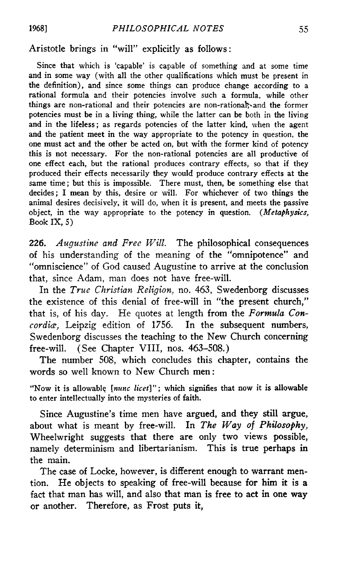## Aristotle brings in "will" explicitly as follows:

Since that which is 'capable' is capable of something and at some time and in some way (with all the other qualifications which must be present in the definition), and since some things can produce change according to a rational formula and their potencies involve such a formula, while other things are non-rational and their potencies are non-rational and the former potencies must be in a living thing, while the latter can be both in the living and in the lifeless; as regards potencies of the latter kind, when the agent and the patient meet in the way appropriate to the potency in question, the one must act and the other be acted on, but with the former kind of potency this is not necessary. For the non-rational potencies are all productive of one effect each, but the rational produces contrary effects, so that if they produced their effects necessarily they would produce contrary effects at the same time; but this is impossible. There must, then, be something else that decides; I mean by this, desire or will. For whichever of two things the animal desires decisively, it will do, when it is present, and meets the passive object, in the way appropriate to the potency in question. (*Metaphysics;* Book IX,  $5$ )

226. *Augustine and Free Will.* The philosophical consequences of his understanding of the meaning of the "omnipotence" and " omniscience" of God caused Augustine to arrive at the conclusion that, since Adam, man does not have free-will.

In the *True Christian Religion,* no. 463, Swedenborg discusses the existence of this denial of free-will in "the present church," that is, of his day. He quotes at length from the *Formula Concordia*, Leipzig edition of 1756. In the subsequent numbers, Swedenborg discusses the teaching to the New Church concerning free-will. (See Chapter VIII, nos. 463-508.)

The number 508, which concludes this chapter, contains the words so well known to New Church men:

" Now it is allowable *[nunc licet]" ;* which signifies that now it is allowable to enter intellectually into the mysteries of faith.

Since Augustine's time men have argued, and they still argue, about what is meant by free-will. In *The Way of Philosophy,* Wheelwright suggests that there are only two views possible, namely determinism and libertarianism. This is true perhaps in the main.

The case of Locke, however, is different enough to warrant mention. He objects to speaking of free-will because for him it is a fact that man has will, and also that man is free to act in one way or another. Therefore, as Frost puts it,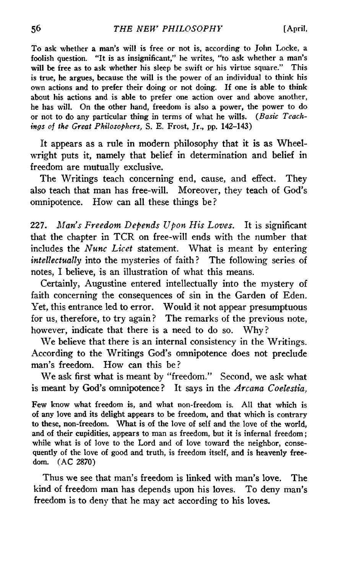To ask whether a man's will is free or not is, according to John Locke, a foolish question. " It is as insignificant," he writes, "to ask whether a man's will be free as to ask whether his sleep be swift or his virtue square." This is true, he argues, because the will is the power of an individual to think his own actions and to prefer their doing or not doing. If one is able to think about his actions and is able to prefer one action over and above another, he has will. On the other hand, freedom is also a power, the power to do or not to do any particular thing in terms of what he wills. *(Basic Teachings of the Great Philosophers,* S. E. Frost, Jr., pp. 142-143)

It appears as a rule in modern philosophy that it is as Wheelwright puts it, namely that belief in determination and belief in freedom are mutually exclusive.

The Writings teach concerning end, cause, and effect. They also teach that man has free-will. Moreover, they teach of God's omnipotence. How can all these things be?

227. *Man's Freedom Depends Upon His Loves*. It is significant that the chapter in TCR on free-will ends with the number that includes the *Nunc Licet* statement. What is meant by entering *intellectually* into the mysteries of faith? The following series of notes, I believe, is an illustration of what this means.

Certainly, Augustine entered intellectually into the mystery of faith concerning the consequences of sin in the Garden of Eden. Yet, this entrance led to error. Would it not appear presumptuous for us, therefore, to try again ? The remarks of the previous note, however, indicate that there is a need to do so. Why?

We believe that there is an internal consistency in the Writings. According to the Writings God's omnipotence does not preclude man's freedom. How can this be?

We ask first what is meant by "freedom." Second, we ask what is meant by God's omnipotence? It says in the *Arcana Coelestia,*

Few know what freedom is, and what non-freedom is. All that which is of any love and its delight appears to be freedom, and that which is contrary to these, non-freedom. What is of the love of self and the love of the world, and of their cupidities, appears to man as freedom, but it is infernal freedom ; while what is of love to the Lord and of love toward the neighbor, consequently of the love of good and truth, is freedom itself, and is heavenly freedom. (AC 2870)

Thus we see that man's freedom is linked with man's love. The kind of freedom man has depends upon his loves. To deny man's freedom is to deny that he may act according to his loves.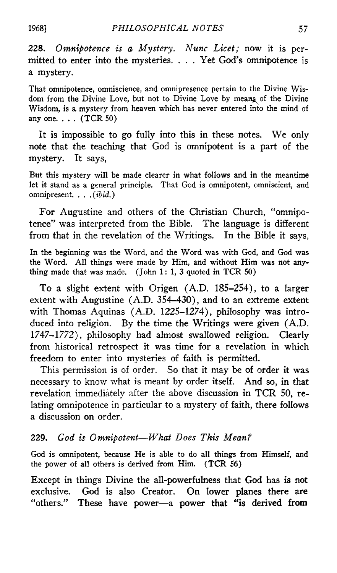228. *Omnipotence is a Mystery. Nunc Licet;* now it is permitted to enter into the mysteries. . . . Yet God's omnipotence is a mystery.

That omnipotence, omniscience, and omnipresence pertain to the Divine Wisdom from the Divine Love, but not to Divine Love by means of the Divine Wisdom, is a mystery from heaven which has never entered into the mind of any one.  $\ldots$  (TCR 50)

It is impossible to go fully into this in these notes. We only note that the teaching that God is omnipotent is a part of the mystery. It says,

But this mystery will be made clearer in what follows and in the meantime let it stand as a general principle. That God is omnipotent, omniscient, and omnipresent. . . ( *ibid.)*

For Augustine and others of the Christian Church, "omnipotence" was interpreted from the Bible. The language is different from that in the revelation of the Writings. In the Bible it says,

In the beginning was the Word, and the Word was with God, and God was the Word. All things were made by Him, and without Him was not anything made that was made. (John 1: 1, 3 quoted in TCR 50)

To a slight extent with Origen (A.D. 185–254), to a larger extent with Augustine  $(A.D. 354-430)$ , and to an extreme extent with Thomas Aquinas (A.D. 1225-1274), philosophy was introduced into religion. By the time the Writings were given (A.D. 1747-1772), philosophy had almost swallowed religion. Clearly from historical retrospect it was time for a revelation in which freedom to enter into mysteries of faith is permitted.

This permission is of order. So that it may be of order it was necessary to know what is meant by order itself. And so, in that revelation immediately after the above discussion in TCR 50, relating omnipotence in particular to a mystery of faith, there follows a discussion on order.

## 229. *God is Omnipotent— What Does This Mean?*

God is omnipotent, because He is able to do all things from Himself, and the power of all others is derived from Him.  $(TCR 56)$ 

Except in things Divine the all-powerfulness that God has is not exclusive. God is also Creator. On lower planes there are "others." These have power—a power that "is derived from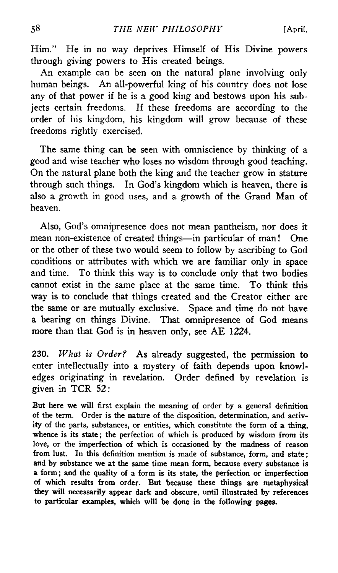Him." He in no way deprives Himself of His Divine powers through giving powers to His created beings.

An example can be seen on the natural plane involving only human beings. An all-powerful king of his country does not lose any of that power if he is a good king and bestows upon his subjects certain freedoms. If these freedoms are according to the order of his kingdom, his kingdom will grow because of these freedoms rightly exercised.

The same thing can be seen with omniscience by thinking of a good and wise teacher who loses no wisdom through good teaching. On the natural plane both the king and the teacher grow in stature through such things. In God's kingdom which is heaven, there is also a growth in good uses, and a growth of the Grand Man of heaven.

Also, God's omnipresence does not mean pantheism, nor does it mean non-existence of created things— in particular of man! One or the other of these two would seem to follow by ascribing to God conditions or attributes with which we are familiar only in space and time. To think this way is to conclude only that two bodies cannot exist in the same place at the same time. To think this way is to conclude that things created and the Creator either are the same or are mutually exclusive. Space and time do not have a bearing on things Divine. That omnipresence of God means more than that God is in heaven only, see AE 1224.

230. *What is Order?* As already suggested, the permission to enter intellectually into a mystery of faith depends upon knowledges originating in revelation. Order defined by revelation is given in TCR 52:

But here we will first explain the meaning of order by a general definition of the term. Order is the nature of the disposition, determination, and activity of the parts, substances, or entities, which constitute the form of a thing, whence is its state; the perfection of which is produced by wisdom from its love, or the imperfection of which is occasioned by the madness of reason from lust. In this definition mention is made of substance, form, and state; and by substance we at the same time mean form, because every substance is a form ; and the quality of a form is its state, the perfection or imperfection of which results from order. But because these things are metaphysical they will necessarily appear dark and obscure, until illustrated by references to particular examples, which will be done in the following pages.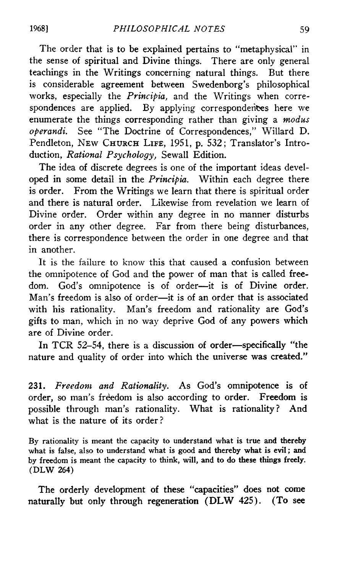The order that is to be explained pertains to "metaphysical" in the sense of spiritual and Divine things. There are only general teachings in the Writings concerning natural things. But there is considerable agreement between Swedenborg's philosophical works, especially the *Principia,* and the Writings when correspondences are applied. By applying correspondences here we enumerate the things corresponding rather than giving a *modus operandi.* See " The Doctrine of Correspondences," Willard D. Pendleton, NEW CHURCH LIFE, 1951, p. 532; Translator's Introduction, *Rational Psychology,* Sewall Edition.

The idea of discrete degrees is one of the important ideas developed in some detail in the *Principia.* Within each degree there is order. From the Writings we learn that there is spiritual order and there is natural order. Likewise from revelation we learn of Divine order. Order within any degree in no manner disturbs order in any other degree. Far from there being disturbances, there is correspondence between the order in one degree and that in another.

It is the failure to know this that caused a confusion between the omnipotence of God and the power of man that is called freedom. God's omnipotence is of order— it is of Divine order. Man's freedom is also of order—it is of an order that is associated with his rationality. Man's freedom and rationality are God's gifts to man, which in no way deprive God of any powers which are of Divine order.

In TCR 52-54, there is a discussion of order—specifically "the nature and quality of order into which the universe was created."

231. *Freedom and Rationality.* As God's omnipotence is of order, so man's freedom is also according to order. Freedom is possible through man's rationality. What is rationality? And what is the nature of its order?

By rationality is meant the capacity to understand what is true and thereby what is false, also to understand what is good and thereby what is evil; and by freedom is meant the capacity to think, will, and to do these things freely.  $(DLW 264)$ 

The orderly development of these "capacities" does not come naturally but only through regeneration (DLW 425). (To see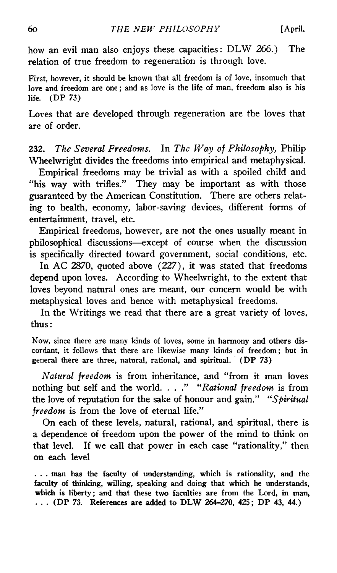how an evil man also enjoys these capacities: DLW 266.) The relation of true freedom to regeneration is through love.

First, however, it should be known that all freedom is of love, insomuch that love and freedom are one; and as love is the life of man, freedom also is his life. (DP 73)

Loves that are developed through regeneration are the loves that are of order.

232. *The Several Freedoms.* In *The Way of Philosophy,* Philip Wheelwright divides the freedoms into empirical and metaphysical.

Empirical freedoms may be trivial as with a spoiled child and "his way with trifles." They may be important as with those guaranteed by the American Constitution. There are others relating to health, economy, labor-saving devices, different forms of entertainment, travel, etc.

Empirical freedoms, however, are not the ones usually meant in philosophical discussions— except of course when the discussion is specifically directed toward government, social conditions, etc.

In AC 2870, quoted above (227), it was stated that freedoms depend upon loves. According to Wheelwright, to the extent that loves beyond natural ones are meant, our concern would be with metaphysical loves and hence with metaphysical freedoms.

In the Writings we read that there are a great variety of loves, thus:

Now, since there are many kinds of loves, some in harmony and others discordant, it follows that there are likewise many kinds of freedom; but in general there are three, natural, rational, and spiritual. (DP 73)

*Natural freedom* is from inheritance, and "from it man loves nothing but self and the world. . . ." "Rational freedom is from the love of reputation for the sake of honour and gain." *" Spiritual freedom* is from the love of eternal life."

On each of these levels, natural, rational, and spiritual, there is a dependence of freedom upon the power of the mind to think on that level. If we call that power in each case "rationality," then on each level

. . . man has the faculty of understanding, which is rationality, and the faculty of thinking, willing, speaking and doing that which he understands, which is liberty; and that these two faculties are from the Lord, in man, ... (DP 73. References are added to DLW 264-270, 425; DP 43, 44.)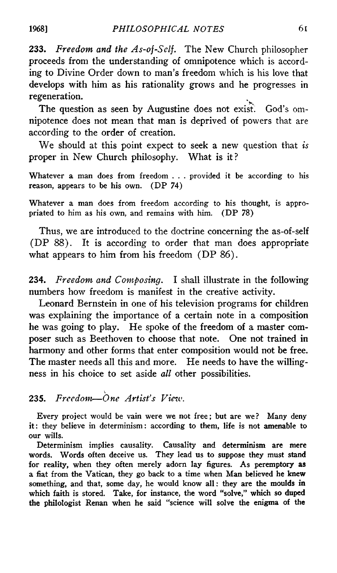233. *Freedom and the As-of-Sclf.* The New Church philosopher proceeds from the understanding of omnipotence which is according to Divine Order down to man's freedom which is his love that develops with him as his rationality grows and he progresses in regeneration.

The question as seen by Augustine does not exist. God's omnipotence does not mean that man is deprived of powers that are according to the order of creation.

We should at this point expect to seek a new question that *is* proper in New Church philosophy. What is it?

Whatever a man does from freedom . . . provided it be according to his reason, appears to be his own.  $(DP 74)$ 

Whatever a man does from freedom according to his thought, is appropriated to him as his own, and remains with him. (DP 78)

Thus, we are introduced to the doctrine concerning the as-of-self (DP  $88$ ). It is according to order that man does appropriate what appears to him from his freedom  $(DP 86)$ .

234. *Freedom and Composing*. I shall illustrate in the following numbers how freedom is manifest in the creative activity.

Leonard Bernstein in one of his television programs for children was explaining the importance of a certain note in a composition he was going to play. He spoke of the freedom of a master composer such as Beethoven to choose that note. One not trained in harmony and other forms that enter composition would not be free. The master needs all this and more. He needs to have the willingness in his choice to set aside *all* other possibilities.

## 235. *Freedom— One Artist's View.*

Every project would be vain were we not free; but are we? Many deny it: they believe in determinism: according to them, life is not amenable to our wills.

Determinism implies causality. Causality and determinism are mere words. Words often deceive us. They lead us to suppose they must stand for reality, when they often merely adorn lay figures. As peremptory as a fiat from the Vatican, they go back to a time when Man believed he knew something, and that, some day, he would know all: they are the moulds in which faith is stored. Take, for instance, the word "solve," which so duped the philologist Renan when he said "science will solve the enigma of the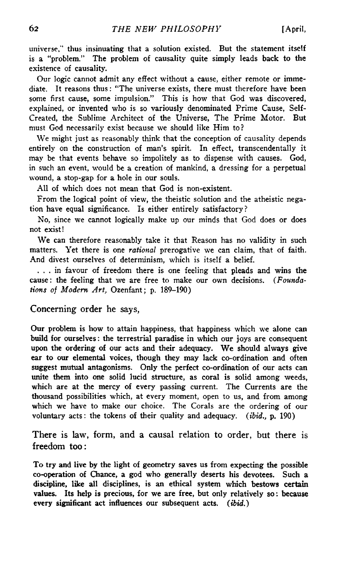universe," thus insinuating that a solution existed. But the statement itself is a "problem." The problem of causality quite simply leads back to the existence of causality.

Our logic cannot admit any effect without a cause, either remote or immediate. It reasons thus: " The universe exists, there must therefore have been some first cause, some impulsion." This is how that God was discovered, explained, or invented who is so variously denominated Prime Cause, Self-Created, the Sublime Architect of the Universe, The Prime Motor. But must God necessarily exist because we should like Him to?

We might just as reasonably think that the conception of causality depends entirely on the construction of man's spirit. In effect, transcendentally it may be that events behave so impolitely as to dispense with causes. God, in such an event, would be a creation of mankind, a dressing for a perpetual wound, a stop-gap for a hole in our souls.

All of which does not mean that God is non-existent.

From the logical point of view, the theistic solution and the atheistic negation have equal significance. Is either entirely satisfactory?

No, since we cannot logically make up our minds that God does or does not exist!

We can therefore reasonably take it that Reason has no validity in such matters. Yet there is one *rational* prerogative we can claim, that of faith. And divest ourselves of determinism, which is itself a belief.

. . . in favour of freedom there is one feeling that pleads and wins the cause: the feeling that we are free to make our own decisions. (*Foundations of Modern Art,* Ozenfant; p. 189-190)

Concerning order he says,

Our problem is how to attain happiness, that happiness which we alone can build for ourselves: the terrestrial paradise in which our joys are consequent upon the ordering of our acts and their adequacy. We should always give ear to our elemental voices, though they may lack co-ordination and often suggest mutual antagonisms. Only the perfect co-ordination of our acts can unite them into one solid lucid structure, as coral is solid among weeds, which are at the mercy of every passing current. The Currents are the thousand possibilities which, at every moment, open to us, and from among which we have to make our choice. The Corals are the ordering of our voluntary acts: the tokens of their quality and adequacy, *(ibid.,* p. 190)

There is law, form, and a causal relation to order, but there is freedom too:

To try and live by the light of geometry saves us from expecting the possible co-operation of Chance, a god who generally deserts his devotees. Such a discipline, like all disciplines, is an ethical system which bestows certain values. Its help is precious, for we are free, but only relatively so: because every significant act influences our subsequent acts, *(ibid.)*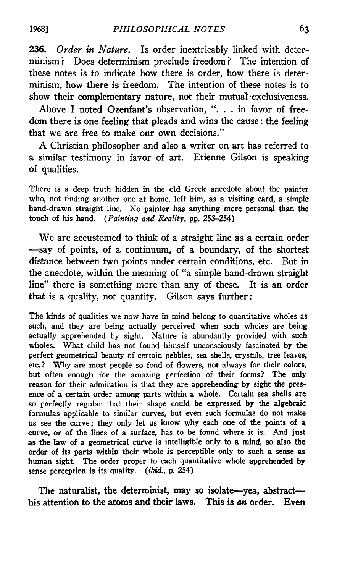236. *Order in Nature.* Is order inextricably linked with determinism? Does determinism preclude freedom? The intention of these notes is to indicate how there is order, how there is determinism, how there is freedom. The intention of these notes is to show their complementary nature, not their mutual-exclusiveness.

Above I noted Ozenfant's observation, ". . . in favor of freedom there is one feeling that pleads and wins the cause: the feeling that we are free to make our own decisions."

A Christian philosopher and also a writer on art has referred to a similar testimony in favor of art. Etienne Gilson is speaking of qualities.

There is a deep truth hidden in the old Greek anecdote about the painter who, not finding another one at home, left him, as a visiting card, a simple hand-drawn straight line. No painter has anything more personal than the touch of his hand. *(Painting and Reality,* pp. 253-254)

We are accustomed to think of a straight line as a certain order — say of points, of a continuum, of a boundary, of the shortest distance between two points under certain conditions, etc. But in the anecdote, within the meaning of "a simple hand-drawn straight line" there is something more than any of these. It is an order that is a quality, not quantity. Gilson says further:

The kinds of qualities we now have in mind belong to quantitative wholes as such, and they are being actually perceived when such wholes are being actually apprehended by sight. Nature is abundantly provided with such wholes. What child has not found himself unconsciously fascinated by the perfect geometrical beauty of certain pebbles, sea shells, crystals, tree leaves, etc.? Why are most people so fond of flowers, not always for their colors, but often enough for the amazing perfection of their forms? The only reason for their admiration is that they are apprehending by sight the presence of a certain order among parts within a whole. Certain sea shells are so perfectly regular that their shape could be expressed by the algebraic formulas applicable to similar curves, but even such formulas do not make us see the curve; they only let us know why each one of the points of a curve, or of the lines of a surface, has to be found where it is. And just as the law of a geometrical curve is intelligible only to a mind, so also the order of its parts within their whole is perceptible only to such a sense as human sight. The order proper to each quantitative whole apprehended by sense perception is its quality, *(ibid.,* p. 254)

The naturalist, the determinist, may so isolate— yea, abstract his attention to the atoms and their laws. This is *an* order. Even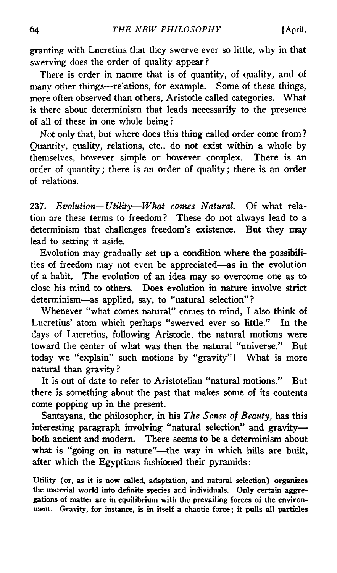granting with Lucretius that they swerve ever so little, why in that swerving does the order of quality appear?

There is order in nature that is of quantity, of quality, and of many other things— relations, for example. Some of these things, more often observed than others, Aristotle called categories. What is there about determinism that leads necessarily to the presence of all of these in one whole being?

Not only that, but where does this thing called order come from ? Quantity, quality, relations, etc., do not exist within a whole by themselves, however simple or however complex. There is an order of quantity; there is an order of quality; there is an order of relations.

237. Evolution-Utility-What comes Natural. Of what relation are these terms to freedom? These do not always lead to a determinism that challenges freedom's existence. But they may lead to setting it aside.

Evolution may gradually set up a condition where the possibilities of freedom may not even be appreciated— as in the evolution of a habit. The evolution of an idea may so overcome one as to close his mind to others. Does evolution in nature involve strict determinism—as applied, say, to "natural selection"?

Whenever "what comes natural" comes to mind, I also think of Lucretius' atom which perhaps "swerved ever so little." In the days of Lucretius, following Aristotle, the natural motions were toward the center of what was then the natural "universe." But today we "explain" such motions by "gravity"! What is more natural than gravity?

It is out of date to refer to Aristotelian "natural motions." But there is something about the past that makes some of its contents come popping up in the present.

Santayana, the philosopher, in his *The Sense of Beauty,* has this interesting paragraph involving "natural selection" and gravityboth ancient and modern. There seems to be a determinism about what is "going on in nature"—the way in which hills are built, after which the Egyptians fashioned their pyramids:

Utility (or, as it is now called, adaptation, and natural selection) organizes the material world into definite species and individuals. Only certain aggregations of matter are in equilibrium with the prevailing forces of the environment. Gravity, for instance, is in itself a chaotic force; it pulls all particles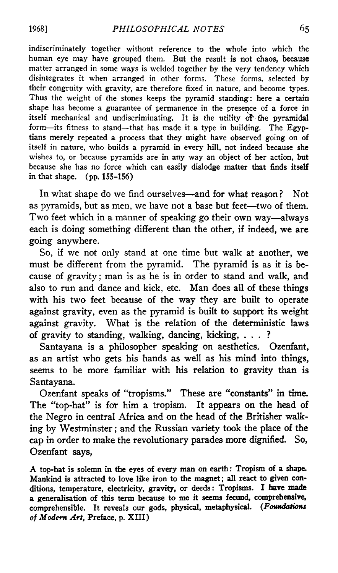indiscriminately together without reference to the whole into which the human eye may have grouped them. But the result is not chaos, because matter arranged in some ways is welded together by the very tendency which disintegrates it when arranged in other forms. These forms, selected by their congruity with gravity, are therefore fixed in nature, and become types. Thus the weight of the stones keeps the pyramid standing: here a certain shape has become a guarantee of permanence in the presence of a force in itself mechanical and undiscriminating. It is the utility  $\partial \mathbf{\hat{f}}$  the pyramidal form— its fitness to stand— that has made it a type in building. The Egyptians merely repeated a process that they might have observed going on of itself in nature, who builds a pyramid in every hill, not indeed because she wishes to, or because pyramids are in any way an object of her action, but because she has no force which can easily dislodge matter that finds itself in that shape, (pp. 155—156)

In what shape do we find ourselves—and for what reason? Not as pyramids, but as men, we have not a base but feet— two of them. Two feet which in a manner of speaking go their own way—always each is doing something different than the other, if indeed, we are going anywhere.

So, if we not only stand at one time but walk at another, we must be different from the pyramid. The pyramid is as it is because of gravity*;* man is as he is in order to stand and walk, and also to run and dance and kick, etc. Man does all of these things with his two feet because of the way they are built to operate against gravity, even as the pyramid is built to support its weight against gravity. What is the relation of the deterministic laws of gravity to standing, walking, dancing, kicking, . . . ?

Santayana is a philosopher speaking on aesthetics. Ozenfant, as an artist who gets his hands as well as his mind into things, seems to be more familiar with his relation to gravity than is Santayana.

Ozenfant speaks of "tropisms." These are "constants" in time. The "top-hat" is for him a tropism. It appears on the head of the Negro in central Africa and on the head of the Britisher walking by Westminster; and the Russian variety took the place of the cap in order to make the revolutionary parades more dignified. So, Ozenfant says,

A top-hat is solemn in the eyes of every man on earth: Tropism of a shape. Mankind is attracted to love like iron to the magnet; all react to given conditions, temperature, electricity, gravity, or deeds: Tropisms. I have made a generalisation of this term because to me it seems fecund, comprehensive, comprehensible. It reveals our gods, physical, metaphysical. *(Foundations* of Modern Art, Preface, p. XIII)